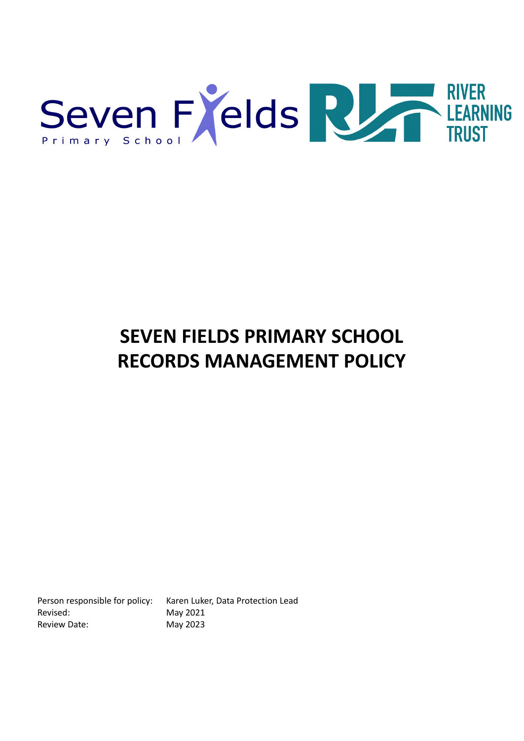

# **SEVEN FIELDS PRIMARY SCHOOL RECORDS MANAGEMENT POLICY**

Revised: May 2021 Review Date: May 2023

Person responsible for policy: Karen Luker, Data Protection Lead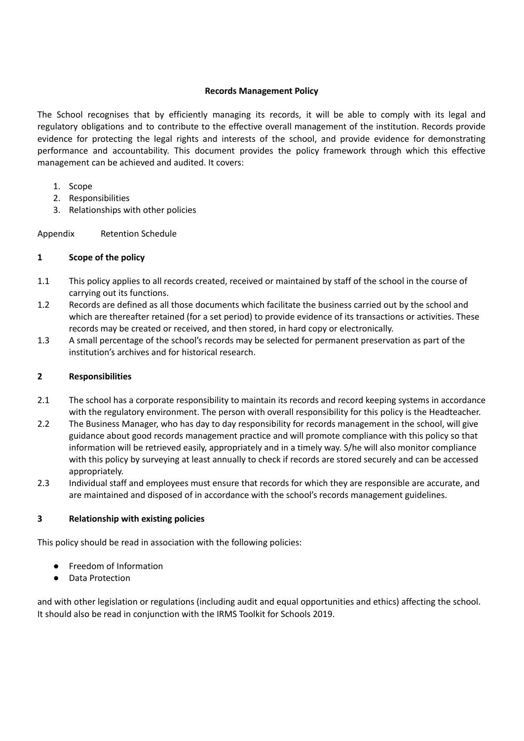#### **Records Management Policy**

The School recognises that by efficiently managing its records, it will be able to comply with its legal and regulatory obligations and to contribute to the effective overall management of the institution. Records provide evidence for protecting the legal rights and interests of the school, and provide evidence for demonstrating performance and accountability. This document provides the policy framework through which this effective management can be achieved and audited. It covers:

- 1. Scope
- 2. Responsibilities
- 3. Relationships with other policies

Appendix Retention Schedule

#### **1 Scope of the policy**

- 1.1 This policy applies to all records created, received or maintained by staff of the school in the course of carrying out its functions.
- 1.2 Records are defined as all those documents which facilitate the business carried out by the school and which are thereafter retained (for a set period) to provide evidence of its transactions or activities. These records may be created or received, and then stored, in hard copy or electronically.
- 1.3 A small percentage of the school's records may be selected for permanent preservation as part of the institution's archives and for historical research.

#### **2 Responsibilities**

- 2.1 The school has a corporate responsibility to maintain its records and record keeping systems in accordance with the regulatory environment. The person with overall responsibility for this policy is the Headteacher.
- 2.2 The Business Manager, who has day to day responsibility for records management in the school, will give guidance about good records management practice and will promote compliance with this policy so that information will be retrieved easily, appropriately and in a timely way. S/he will also monitor compliance with this policy by surveying at least annually to check if records are stored securely and can be accessed appropriately.
- 2.3 Individual staff and employees must ensure that records for which they are responsible are accurate, and are maintained and disposed of in accordance with the school's records management guidelines.

## **3 Relationship with existing policies**

This policy should be read in association with the following policies:

- Freedom of Information
- Data Protection

and with other legislation or regulations (including audit and equal opportunities and ethics) affecting the school. It should also be read in conjunction with the IRMS Toolkit for Schools 2019.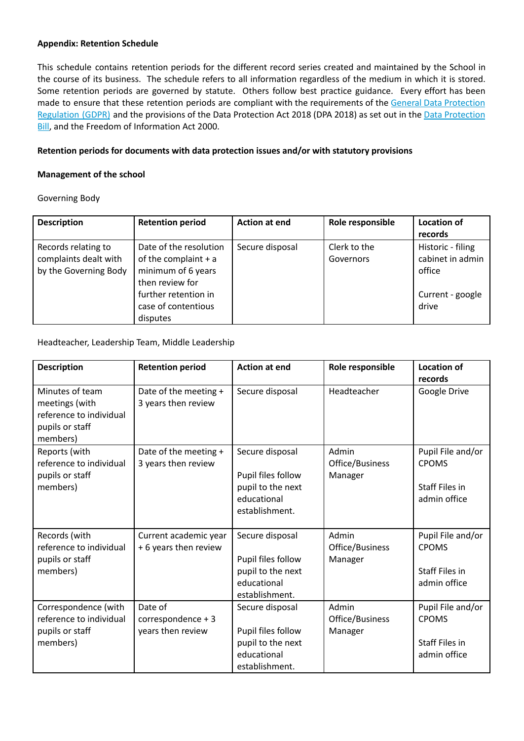#### **Appendix: Retention Schedule**

This schedule contains retention periods for the different record series created and maintained by the School in the course of its business. The schedule refers to all information regardless of the medium in which it is stored. Some retention periods are governed by statute. Others follow best practice guidance. Every effort has been made to ensure that these retention periods are compliant with the requirements of the General Data [Protection](http://data.consilium.europa.eu/doc/document/ST-5419-2016-INIT/en/pdf) [Regulation](http://data.consilium.europa.eu/doc/document/ST-5419-2016-INIT/en/pdf) (GDPR) and the provisions of the Data Protection Act 2018 (DPA 2018) as set out in the Data [Protection](https://publications.parliament.uk/pa/bills/cbill/2017-2019/0153/18153.pdf) [Bill](https://publications.parliament.uk/pa/bills/cbill/2017-2019/0153/18153.pdf), and the Freedom of Information Act 2000.

#### **Retention periods for documents with data protection issues and/or with statutory provisions**

#### **Management of the school**

Governing Body

| <b>Description</b>    | <b>Retention period</b> | <b>Action at end</b> | Role responsible | Location of       |
|-----------------------|-------------------------|----------------------|------------------|-------------------|
|                       |                         |                      |                  | records           |
| Records relating to   | Date of the resolution  | Secure disposal      | Clerk to the     | Historic - filing |
| complaints dealt with | of the complaint $+ a$  |                      | Governors        | cabinet in admin  |
| by the Governing Body | minimum of 6 years      |                      |                  | office            |
|                       | then review for         |                      |                  |                   |
|                       | further retention in    |                      |                  | Current - google  |
|                       | case of contentious     |                      |                  | drive             |
|                       | disputes                |                      |                  |                   |

#### Headteacher, Leadership Team, Middle Leadership

| <b>Description</b>                                                                          | <b>Retention period</b>                            | <b>Action at end</b>                                                                        | Role responsible                    | <b>Location of</b><br>records                                              |
|---------------------------------------------------------------------------------------------|----------------------------------------------------|---------------------------------------------------------------------------------------------|-------------------------------------|----------------------------------------------------------------------------|
| Minutes of team<br>meetings (with<br>reference to individual<br>pupils or staff<br>members) | Date of the meeting +<br>3 years then review       | Secure disposal                                                                             | Headteacher                         | Google Drive                                                               |
| Reports (with<br>reference to individual<br>pupils or staff<br>members)                     | Date of the meeting +<br>3 years then review       | Secure disposal<br>Pupil files follow<br>pupil to the next<br>educational<br>establishment. | Admin<br>Office/Business<br>Manager | Pupil File and/or<br><b>CPOMS</b><br><b>Staff Files in</b><br>admin office |
| Records (with<br>reference to individual<br>pupils or staff<br>members)                     | Current academic year<br>+ 6 years then review     | Secure disposal<br>Pupil files follow<br>pupil to the next<br>educational<br>establishment. | Admin<br>Office/Business<br>Manager | Pupil File and/or<br><b>CPOMS</b><br><b>Staff Files in</b><br>admin office |
| Correspondence (with<br>reference to individual<br>pupils or staff<br>members)              | Date of<br>correspondence + 3<br>years then review | Secure disposal<br>Pupil files follow<br>pupil to the next<br>educational<br>establishment. | Admin<br>Office/Business<br>Manager | Pupil File and/or<br><b>CPOMS</b><br><b>Staff Files in</b><br>admin office |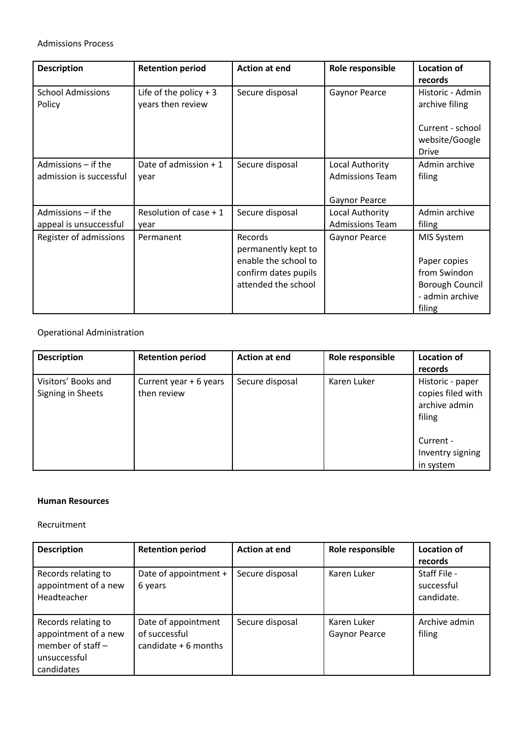## Admissions Process

| <b>Description</b>                             | <b>Retention period</b>                      | <b>Action at end</b>                                                                                  | Role responsible                                                  | <b>Location of</b><br>records                                                                     |
|------------------------------------------------|----------------------------------------------|-------------------------------------------------------------------------------------------------------|-------------------------------------------------------------------|---------------------------------------------------------------------------------------------------|
| <b>School Admissions</b><br>Policy             | Life of the policy $+3$<br>years then review | Secure disposal                                                                                       | Gaynor Pearce                                                     | Historic - Admin<br>archive filing<br>Current - school<br>website/Google<br><b>Drive</b>          |
| Admissions – if the<br>admission is successful | Date of admission + 1<br>year                | Secure disposal                                                                                       | Local Authority<br><b>Admissions Team</b><br><b>Gaynor Pearce</b> | Admin archive<br>filing                                                                           |
| Admissions – if the<br>appeal is unsuccessful  | Resolution of case $+1$<br>year              | Secure disposal                                                                                       | Local Authority<br><b>Admissions Team</b>                         | Admin archive<br>filing                                                                           |
| Register of admissions                         | Permanent                                    | Records<br>permanently kept to<br>enable the school to<br>confirm dates pupils<br>attended the school | <b>Gaynor Pearce</b>                                              | MIS System<br>Paper copies<br>from Swindon<br><b>Borough Council</b><br>- admin archive<br>filing |

## Operational Administration

| <b>Description</b>                       | <b>Retention period</b>               | <b>Action at end</b> | Role responsible | <b>Location of</b><br>records                                    |
|------------------------------------------|---------------------------------------|----------------------|------------------|------------------------------------------------------------------|
| Visitors' Books and<br>Signing in Sheets | Current year + 6 years<br>then review | Secure disposal      | Karen Luker      | Historic - paper<br>copies filed with<br>archive admin<br>filing |
|                                          |                                       |                      |                  | Current -<br>Inventry signing                                    |
|                                          |                                       |                      |                  | in system                                                        |

#### **Human Resources**

#### Recruitment

| <b>Description</b>   | <b>Retention period</b> | <b>Action at end</b> | Role responsible     | <b>Location of</b> |
|----------------------|-------------------------|----------------------|----------------------|--------------------|
|                      |                         |                      |                      | records            |
| Records relating to  | Date of appointment +   | Secure disposal      | Karen Luker          | Staff File -       |
| appointment of a new | 6 years                 |                      |                      | successful         |
| Headteacher          |                         |                      |                      | candidate.         |
|                      |                         |                      |                      |                    |
| Records relating to  | Date of appointment     | Secure disposal      | Karen Luker          | Archive admin      |
| appointment of a new | of successful           |                      | <b>Gaynor Pearce</b> | filing             |
| member of staff $-$  | candidate $+6$ months   |                      |                      |                    |
| unsuccessful         |                         |                      |                      |                    |
| candidates           |                         |                      |                      |                    |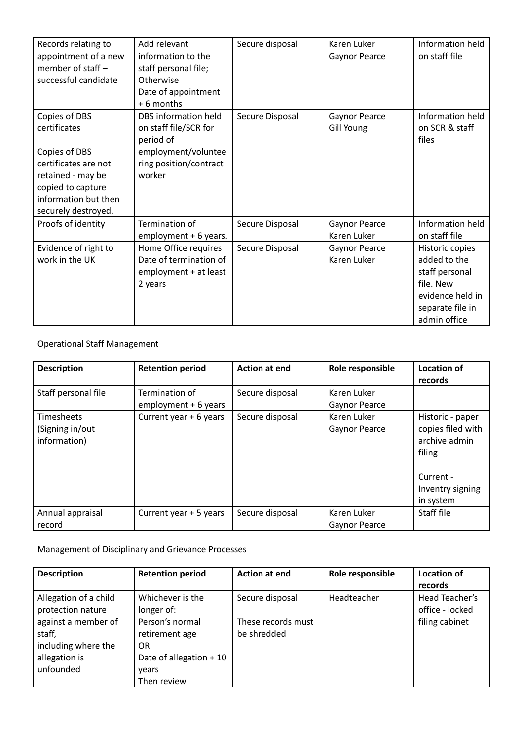| Records relating to<br>appointment of a new<br>member of staff -<br>successful candidate                                                                        | Add relevant<br>information to the<br>staff personal file;<br>Otherwise<br>Date of appointment<br>+6 months           | Secure disposal | Karen Luker<br>Gaynor Pearce       | Information held<br>on staff file                                                                                      |
|-----------------------------------------------------------------------------------------------------------------------------------------------------------------|-----------------------------------------------------------------------------------------------------------------------|-----------------|------------------------------------|------------------------------------------------------------------------------------------------------------------------|
| Copies of DBS<br>certificates<br>Copies of DBS<br>certificates are not<br>retained - may be<br>copied to capture<br>information but then<br>securely destroyed. | DBS information held<br>on staff file/SCR for<br>period of<br>employment/voluntee<br>ring position/contract<br>worker | Secure Disposal | <b>Gaynor Pearce</b><br>Gill Young | Information held<br>on SCR & staff<br>files                                                                            |
| Proofs of identity                                                                                                                                              | Termination of<br>employment + 6 years.                                                                               | Secure Disposal | Gaynor Pearce<br>Karen Luker       | Information held<br>on staff file                                                                                      |
| Evidence of right to<br>work in the UK                                                                                                                          | Home Office requires<br>Date of termination of<br>employment + at least<br>2 years                                    | Secure Disposal | Gaynor Pearce<br>Karen Luker       | Historic copies<br>added to the<br>staff personal<br>file. New<br>evidence held in<br>separate file in<br>admin office |

# Operational Staff Management

| <b>Description</b>                                   | <b>Retention period</b>                | <b>Action at end</b> | Role responsible                    | <b>Location of</b><br>records                                                                                  |
|------------------------------------------------------|----------------------------------------|----------------------|-------------------------------------|----------------------------------------------------------------------------------------------------------------|
| Staff personal file                                  | Termination of<br>employment + 6 years | Secure disposal      | Karen Luker<br><b>Gaynor Pearce</b> |                                                                                                                |
| <b>Timesheets</b><br>(Signing in/out<br>information) | Current year + 6 years                 | Secure disposal      | Karen Luker<br><b>Gaynor Pearce</b> | Historic - paper<br>copies filed with<br>archive admin<br>filing<br>Current -<br>Inventry signing<br>in system |
| Annual appraisal<br>record                           | Current year + 5 years                 | Secure disposal      | Karen Luker<br>Gaynor Pearce        | Staff file                                                                                                     |

# Management of Disciplinary and Grievance Processes

| <b>Description</b>    | <b>Retention period</b>  | <b>Action at end</b> | Role responsible | <b>Location of</b> |
|-----------------------|--------------------------|----------------------|------------------|--------------------|
|                       |                          |                      |                  | records            |
| Allegation of a child | Whichever is the         | Secure disposal      | Headteacher      | Head Teacher's     |
| protection nature     | longer of:               |                      |                  | office - locked    |
| against a member of   | Person's normal          | These records must   |                  | filing cabinet     |
| staff,                | retirement age           | be shredded          |                  |                    |
| including where the   | OR.                      |                      |                  |                    |
| allegation is         | Date of allegation $+10$ |                      |                  |                    |
| unfounded             | vears                    |                      |                  |                    |
|                       | Then review              |                      |                  |                    |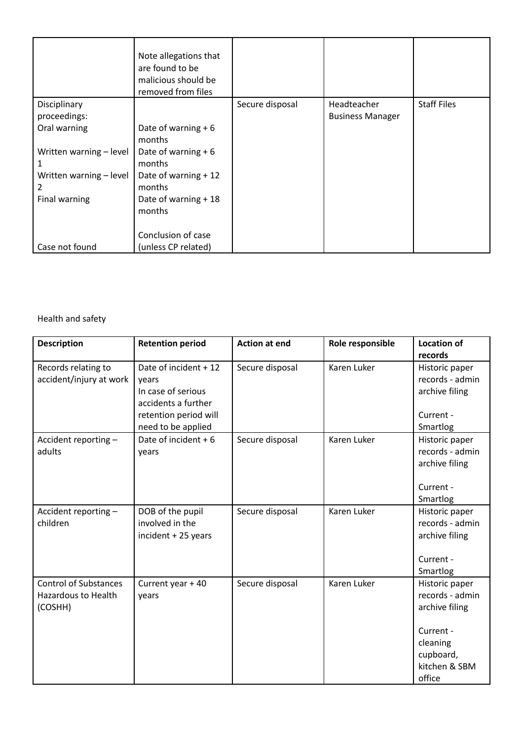|                         | Note allegations that<br>are found to be<br>malicious should be<br>removed from files |                 |                         |                    |
|-------------------------|---------------------------------------------------------------------------------------|-----------------|-------------------------|--------------------|
| Disciplinary            |                                                                                       | Secure disposal | Headteacher             | <b>Staff Files</b> |
| proceedings:            |                                                                                       |                 | <b>Business Manager</b> |                    |
| Oral warning            | Date of warning $+6$                                                                  |                 |                         |                    |
|                         | months                                                                                |                 |                         |                    |
| Written warning - level | Date of warning $+6$                                                                  |                 |                         |                    |
| 1                       | months                                                                                |                 |                         |                    |
| Written warning - level | Date of warning + 12                                                                  |                 |                         |                    |
| 2                       | months                                                                                |                 |                         |                    |
| Final warning           | Date of warning + 18                                                                  |                 |                         |                    |
|                         | months                                                                                |                 |                         |                    |
|                         |                                                                                       |                 |                         |                    |
|                         | Conclusion of case                                                                    |                 |                         |                    |
| Case not found          | (unless CP related)                                                                   |                 |                         |                    |

# Health and safety

| <b>Description</b>           | <b>Retention period</b> | <b>Action at end</b> | Role responsible | <b>Location of</b> |
|------------------------------|-------------------------|----------------------|------------------|--------------------|
|                              |                         |                      |                  | records            |
| Records relating to          | Date of incident + 12   | Secure disposal      | Karen Luker      | Historic paper     |
| accident/injury at work      | years                   |                      |                  | records - admin    |
|                              | In case of serious      |                      |                  | archive filing     |
|                              | accidents a further     |                      |                  |                    |
|                              | retention period will   |                      |                  | Current -          |
|                              | need to be applied      |                      |                  | Smartlog           |
| Accident reporting -         | Date of incident $+6$   | Secure disposal      | Karen Luker      | Historic paper     |
| adults                       | years                   |                      |                  | records - admin    |
|                              |                         |                      |                  | archive filing     |
|                              |                         |                      |                  |                    |
|                              |                         |                      |                  | Current -          |
|                              |                         |                      |                  | Smartlog           |
| Accident reporting -         | DOB of the pupil        | Secure disposal      | Karen Luker      | Historic paper     |
| children                     | involved in the         |                      |                  | records - admin    |
|                              | incident + 25 years     |                      |                  | archive filing     |
|                              |                         |                      |                  |                    |
|                              |                         |                      |                  | Current -          |
|                              |                         |                      |                  | Smartlog           |
| <b>Control of Substances</b> | Current year + 40       | Secure disposal      | Karen Luker      | Historic paper     |
| <b>Hazardous to Health</b>   | years                   |                      |                  | records - admin    |
| (COSHH)                      |                         |                      |                  | archive filing     |
|                              |                         |                      |                  |                    |
|                              |                         |                      |                  | Current -          |
|                              |                         |                      |                  | cleaning           |
|                              |                         |                      |                  | cupboard,          |
|                              |                         |                      |                  | kitchen & SBM      |
|                              |                         |                      |                  | office             |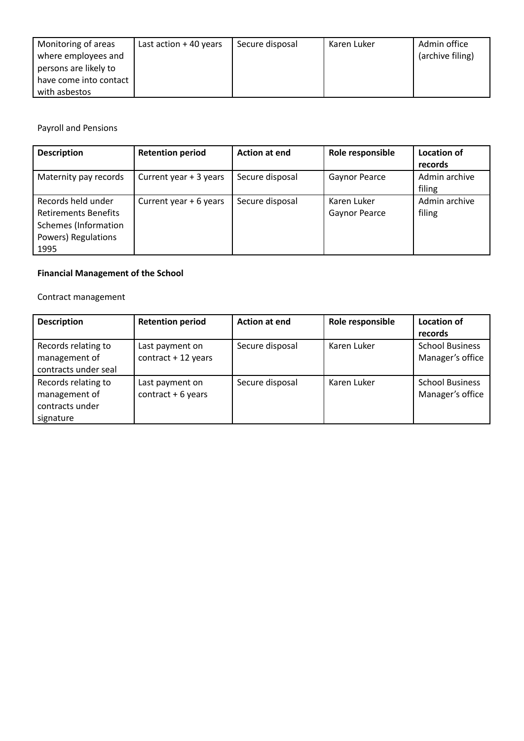| Monitoring of areas<br>where employees and<br>persons are likely to | Last action $+$ 40 years | Secure disposal | Karen Luker | Admin office<br>(archive filing) |
|---------------------------------------------------------------------|--------------------------|-----------------|-------------|----------------------------------|
| have come into contact<br>with asbestos                             |                          |                 |             |                                  |

Payroll and Pensions

| <b>Description</b>                                                                                              | <b>Retention period</b> | <b>Action at end</b> | Role responsible             | <b>Location of</b><br>records |
|-----------------------------------------------------------------------------------------------------------------|-------------------------|----------------------|------------------------------|-------------------------------|
| Maternity pay records                                                                                           | Current year + 3 years  | Secure disposal      | Gaynor Pearce                | Admin archive<br>filing       |
| Records held under<br><b>Retirements Benefits</b><br><b>Schemes</b> (Information<br>Powers) Regulations<br>1995 | Current year + 6 years  | Secure disposal      | Karen Luker<br>Gaynor Pearce | Admin archive<br>filing       |

# **Financial Management of the School**

Contract management

| <b>Description</b>   | <b>Retention period</b> | <b>Action at end</b> | Role responsible | Location of            |
|----------------------|-------------------------|----------------------|------------------|------------------------|
|                      |                         |                      |                  | records                |
| Records relating to  | Last payment on         | Secure disposal      | Karen Luker      | <b>School Business</b> |
| management of        | $contract + 12 years$   |                      |                  | Manager's office       |
| contracts under seal |                         |                      |                  |                        |
| Records relating to  | Last payment on         | Secure disposal      | Karen Luker      | <b>School Business</b> |
| management of        | contract $+6$ years     |                      |                  | Manager's office       |
| contracts under      |                         |                      |                  |                        |
| signature            |                         |                      |                  |                        |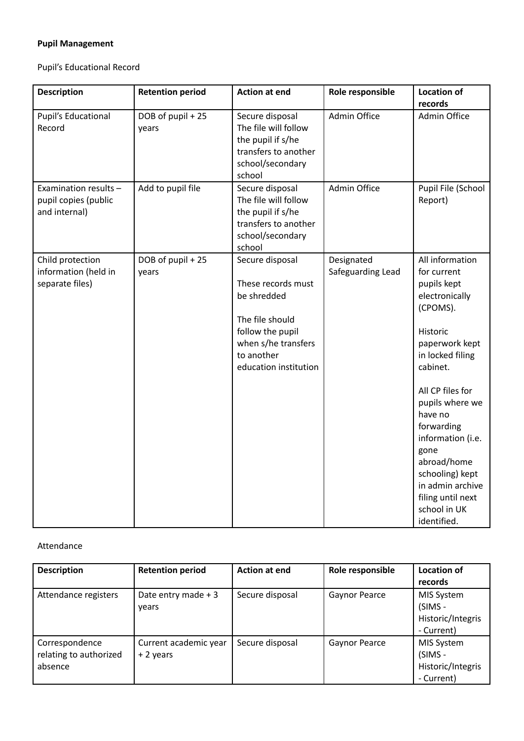# **Pupil Management**

Pupil's Educational Record

| <b>Description</b>                                             | <b>Retention period</b>    | <b>Action at end</b>                                                                                                                                      | Role responsible                | <b>Location of</b><br>records                                                                                                                                                                                                                                                                                                                    |
|----------------------------------------------------------------|----------------------------|-----------------------------------------------------------------------------------------------------------------------------------------------------------|---------------------------------|--------------------------------------------------------------------------------------------------------------------------------------------------------------------------------------------------------------------------------------------------------------------------------------------------------------------------------------------------|
| <b>Pupil's Educational</b><br>Record                           | DOB of pupil + 25<br>years | Secure disposal<br>The file will follow<br>the pupil if s/he<br>transfers to another<br>school/secondary<br>school                                        | Admin Office                    | Admin Office                                                                                                                                                                                                                                                                                                                                     |
| Examination results -<br>pupil copies (public<br>and internal) | Add to pupil file          | Secure disposal<br>The file will follow<br>the pupil if s/he<br>transfers to another<br>school/secondary<br>school                                        | Admin Office                    | Pupil File (School<br>Report)                                                                                                                                                                                                                                                                                                                    |
| Child protection<br>information (held in<br>separate files)    | DOB of pupil + 25<br>years | Secure disposal<br>These records must<br>be shredded<br>The file should<br>follow the pupil<br>when s/he transfers<br>to another<br>education institution | Designated<br>Safeguarding Lead | All information<br>for current<br>pupils kept<br>electronically<br>(CPOMS).<br>Historic<br>paperwork kept<br>in locked filing<br>cabinet.<br>All CP files for<br>pupils where we<br>have no<br>forwarding<br>information (i.e.<br>gone<br>abroad/home<br>schooling) kept<br>in admin archive<br>filing until next<br>school in UK<br>identified. |

#### Attendance

| <b>Description</b>                                  | <b>Retention period</b>            | <b>Action at end</b> | Role responsible | <b>Location of</b><br>records                                   |
|-----------------------------------------------------|------------------------------------|----------------------|------------------|-----------------------------------------------------------------|
| Attendance registers                                | Date entry made $+3$<br>vears      | Secure disposal      | Gaynor Pearce    | MIS System<br>(SIMS -<br>Historic/Integris<br>- Current)        |
| Correspondence<br>relating to authorized<br>absence | Current academic year<br>+ 2 years | Secure disposal      | Gaynor Pearce    | <b>MIS System</b><br>(SIMS -<br>Historic/Integris<br>- Current) |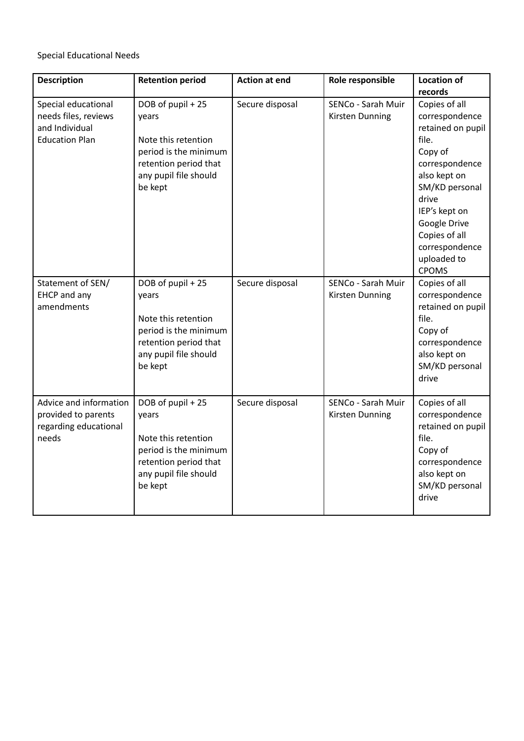Special Educational Needs

| <b>Description</b>     | <b>Retention period</b> | <b>Action at end</b> | Role responsible   | <b>Location of</b> |
|------------------------|-------------------------|----------------------|--------------------|--------------------|
|                        |                         |                      |                    | records            |
| Special educational    | DOB of pupil + 25       | Secure disposal      | SENCo - Sarah Muir | Copies of all      |
| needs files, reviews   | years                   |                      | Kirsten Dunning    | correspondence     |
| and Individual         |                         |                      |                    | retained on pupil  |
| <b>Education Plan</b>  | Note this retention     |                      |                    | file.              |
|                        | period is the minimum   |                      |                    | Copy of            |
|                        | retention period that   |                      |                    | correspondence     |
|                        | any pupil file should   |                      |                    | also kept on       |
|                        | be kept                 |                      |                    | SM/KD personal     |
|                        |                         |                      |                    | drive              |
|                        |                         |                      |                    | IEP's kept on      |
|                        |                         |                      |                    | Google Drive       |
|                        |                         |                      |                    | Copies of all      |
|                        |                         |                      |                    | correspondence     |
|                        |                         |                      |                    | uploaded to        |
|                        |                         |                      |                    | <b>CPOMS</b>       |
| Statement of SEN/      | DOB of pupil + 25       | Secure disposal      | SENCo - Sarah Muir | Copies of all      |
| <b>EHCP</b> and any    | years                   |                      | Kirsten Dunning    | correspondence     |
| amendments             |                         |                      |                    | retained on pupil  |
|                        | Note this retention     |                      |                    | file.              |
|                        | period is the minimum   |                      |                    | Copy of            |
|                        | retention period that   |                      |                    | correspondence     |
|                        | any pupil file should   |                      |                    | also kept on       |
|                        | be kept                 |                      |                    | SM/KD personal     |
|                        |                         |                      |                    | drive              |
|                        |                         |                      |                    |                    |
| Advice and information | DOB of pupil + 25       | Secure disposal      | SENCo - Sarah Muir | Copies of all      |
| provided to parents    | years                   |                      | Kirsten Dunning    | correspondence     |
| regarding educational  |                         |                      |                    | retained on pupil  |
| needs                  | Note this retention     |                      |                    | file.              |
|                        | period is the minimum   |                      |                    | Copy of            |
|                        | retention period that   |                      |                    | correspondence     |
|                        | any pupil file should   |                      |                    | also kept on       |
|                        | be kept                 |                      |                    | SM/KD personal     |
|                        |                         |                      |                    | drive              |
|                        |                         |                      |                    |                    |